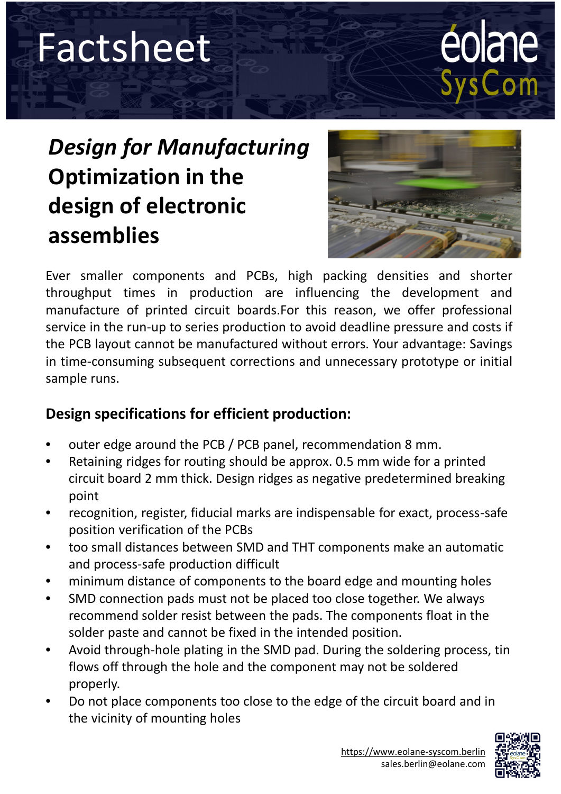## Factsheet

# éolane<br>SysCom

### *Design for Manufacturing* **Optimization in the design of electronic assemblies**



in time-consuming subsequent corrections and unnecessary prototype or initial<br>sample runs.<br>. Ever smaller components and PCBs, high packing densities and shorter throughput times in production are influencing the development and manufacture of printed circuit boards.For this reason, we offer professional service in the run-up to series production to avoid deadline pressure and costs if the PCB layout cannot be manufactured without errors. Your advantage: Savings sample runs.

#### **Design specifications for efficient production:**

- outer edge around the PCB / PCB panel, recommendation 8 mm.
- Retaining ridges for routing should be approx. 0.5 mm wide for a printed circuit board 2 mm thick. Design ridges as negative predetermined breaking point
- recognition, register, fiducial marks are indispensable for exact, process-safe position verification of the PCBs
- too small distances between SMD and THT components make an automatic and process-safe production difficult
- minimum distance of components to the board edge and mounting holes
- SMD connection pads must not be placed too close together. We always recommend solder resist between the pads. The components float in the solder paste and cannot be fixed in the intended position.
- Avoid through-hole plating in the SMD pad. During the soldering process, tin flows off through the hole and the component may not be soldered properly.
- Do not place components too close to the edge of the circuit board and in the vicinity of mounting holes